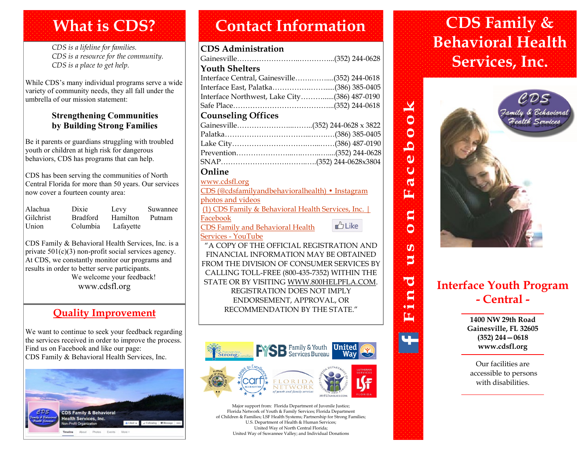# **What is CDS?**

*CDS is a lifeline for families. CDS is a resource for the community. CDS is a place to get help.*

While CDS's many individual programs serve a wide variety of community needs, they all fall under the umbrella of our mission statement:

#### **Strengthening Communities by Building Strong Families**

Be it parents or guardians struggling with troubled youth or children at high risk for dangerous behaviors, CDS has programs that can help.

CDS has been serving the communities of North Central Florida for more than 50 years. Our services now cover a fourteen county area:

| Alachua   | Dixie           | Levy      | Suwannee |
|-----------|-----------------|-----------|----------|
| Gilchrist | <b>Bradford</b> | Hamilton  | Putnam   |
| Union     | Columbia        | Lafayette |          |

CDS Family & Behavioral Health Services, Inc. is a private 501(c)(3) non-profit social services agency. At CDS, we constantly monitor our programs and results in order to better serve participants. We welcome your feedback! www.cdsfl.org

## **Quality Improvement**

We want to continue to seek your feedback regarding the services received in order to improve the process. Find us on Facebook and like our page: CDS Family & Behavioral Health Services, Inc.



# **Contact Information CDS Family &**

#### **CDS Administration**

| <b>Youth Shelters</b>                                                         |  |
|-------------------------------------------------------------------------------|--|
| Interface Central, Gainesville(352) 244-0618                                  |  |
|                                                                               |  |
| Interface Northwest, Lake City(386) 487-0190                                  |  |
|                                                                               |  |
| <b>Counseling Offices</b>                                                     |  |
|                                                                               |  |
|                                                                               |  |
|                                                                               |  |
|                                                                               |  |
|                                                                               |  |
| Online                                                                        |  |
| www.cdsfl.org                                                                 |  |
| $CDC$ ( $\otimes$ , 1, f, , 11, , 11, , , 11, , 11, , 11, , 11, , 11, , 11, , |  |

| CDS (@cdsfamilyandbehavioralhealth) • Instagram   |          |
|---------------------------------------------------|----------|
| photos and videos                                 |          |
| (1) CDS Family & Behavioral Health Services, Inc. |          |
| Facebook                                          |          |
| <b>CDS Family and Behavioral Health</b>           | $b$ Like |
| $\sim$ $\sim$ $\sim$ $\sim$ $\sim$ 1              |          |

#### [Services -](https://www.youtube.com/channel/UCQHtxshi6U3T1YheFQimrsA) YouTube

"A COPY OF THE OFFICIAL REGISTRATION AND FINANCIAL INFORMATION MAY BE OBTAINED FROM THE DIVISION OF CONSUMER SERVICES BY CALLING TOLL-FREE (800-435-7352) WITHIN THE STATE OR BY VISITING WWW.800HELPFLA.COM. REGISTRATION DOES NOT IMPLY ENDORSEMENT, APPROVAL, OR RECOMMENDATION BY THE STATE."



Major support from: Florida Department of Juvenile Justice; Florida Network of Youth & Family Services; Florida Department of Children & Families; LSF Health Systems; Partnership for Strong Families; U.S. Department of Health & Human Services; United Way of North Central Florida; United Way of Suwannee Valley; and Individual Donations

# **Behavioral Health Services, Inc.**



 $\bullet$ 

 $\tilde{\mathbf{O}}$ 

坕

 $\overline{\bullet}$  $\mathbf{C}$ **OHI** Ļτ,

# **Interface Youth Program - Central -**

**1400 NW 29th Road Gainesville, FL 32605 (352) 244—0618 www.cdsfl.org**

Our facilities are accessible to persons with disabilities.